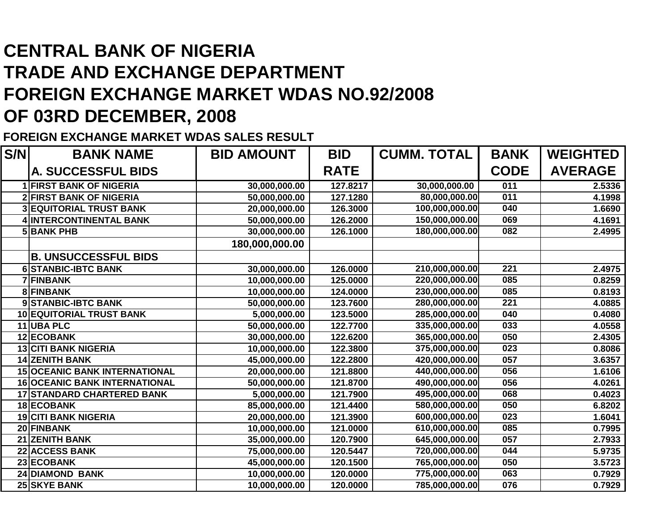## **CENTRAL BANK OF NIGERIA TRADE AND EXCHANGE DEPARTMENT FOREIGN EXCHANGE MARKET WDAS NO.92/2008OF 03RD DECEMBER, 2008**

**FOREIGN EXCHANGE MARKET WDAS SALES RESULT**

| S/N | <b>BANK NAME</b>                     | <b>BID AMOUNT</b> | <b>BID</b>  | <b>CUMM. TOTAL</b> |                  | <b>WEIGHTED</b> |
|-----|--------------------------------------|-------------------|-------------|--------------------|------------------|-----------------|
|     | A. SUCCESSFUL BIDS                   |                   | <b>RATE</b> |                    | <b>CODE</b>      | <b>AVERAGE</b>  |
|     | <b>1 FIRST BANK OF NIGERIA</b>       | 30,000,000.00     | 127.8217    | 30,000,000.00      | 011              | 2.5336          |
|     | <b>2 FIRST BANK OF NIGERIA</b>       | 50,000,000.00     | 127.1280    | 80,000,000.00      | 011              | 4.1998          |
|     | <b>3 EQUITORIAL TRUST BANK</b>       | 20,000,000.00     | 126.3000    | 100,000,000.00     | 040              | 1.6690          |
|     | 4 INTERCONTINENTAL BANK              | 50,000,000.00     | 126.2000    | 150,000,000.00     | 069              | 4.1691          |
|     | <b>5 BANK PHB</b>                    | 30,000,000.00     | 126.1000    | 180,000,000.00     | 082              | 2.4995          |
|     |                                      | 180,000,000.00    |             |                    |                  |                 |
|     | <b>B. UNSUCCESSFUL BIDS</b>          |                   |             |                    |                  |                 |
|     | <b>6 STANBIC-IBTC BANK</b>           | 30,000,000.00     | 126.0000    | 210,000,000.00     | 221              | 2.4975          |
|     | 7 FINBANK                            | 10,000,000.00     | 125.0000    | 220,000,000.00     | 085              | 0.8259          |
|     | <b>8 FINBANK</b>                     | 10,000,000.00     | 124.0000    | 230,000,000.00     | 085              | 0.8193          |
|     | 9 STANBIC-IBTC BANK                  | 50,000,000.00     | 123.7600    | 280,000,000.00     | 221              | 4.0885          |
|     | 10 EQUITORIAL TRUST BANK             | 5,000,000.00      | 123.5000    | 285,000,000.00     | 040              | 0.4080          |
|     | 11 UBA PLC                           | 50,000,000.00     | 122.7700    | 335,000,000.00     | 033              | 4.0558          |
|     | <b>12 ECOBANK</b>                    | 30,000,000.00     | 122.6200    | 365,000,000.00     | 050              | 2.4305          |
|     | <b>13 CITI BANK NIGERIA</b>          | 10,000,000.00     | 122.3800    | 375,000,000.00     | $\overline{023}$ | 0.8086          |
|     | <b>14 ZENITH BANK</b>                | 45,000,000.00     | 122.2800    | 420,000,000.00     | 057              | 3.6357          |
|     | <b>15 OCEANIC BANK INTERNATIONAL</b> | 20,000,000.00     | 121.8800    | 440,000,000.00     | 056              | 1.6106          |
|     | <b>16 OCEANIC BANK INTERNATIONAL</b> | 50,000,000.00     | 121.8700    | 490,000,000.00     | 056              | 4.0261          |
|     | <b>17 STANDARD CHARTERED BANK</b>    | 5,000,000.00      | 121.7900    | 495,000,000.00     | 068              | 0.4023          |
|     | 18 ECOBANK                           | 85,000,000.00     | 121.4400    | 580,000,000.00     | 050              | 6.8202          |
|     | <b>19 CITI BANK NIGERIA</b>          | 20,000,000.00     | 121.3900    | 600,000,000.00     | 023              | 1.6041          |
|     | 20 FINBANK                           | 10,000,000.00     | 121.0000    | 610,000,000.00     | 085              | 0.7995          |
|     | <b>21 ZENITH BANK</b>                | 35,000,000.00     | 120.7900    | 645,000,000.00     | 057              | 2.7933          |
|     | <b>22 ACCESS BANK</b>                | 75,000,000.00     | 120.5447    | 720,000,000.00     | 044              | 5.9735          |
|     | 23 ECOBANK                           | 45,000,000.00     | 120.1500    | 765,000,000.00     | 050              | 3.5723          |
|     | <b>24 DIAMOND BANK</b>               | 10,000,000.00     | 120.0000    | 775,000,000.00     | 063              | 0.7929          |
|     | <b>25 SKYE BANK</b>                  | 10,000,000.00     | 120.0000    | 785,000,000.00     | 076              | 0.7929          |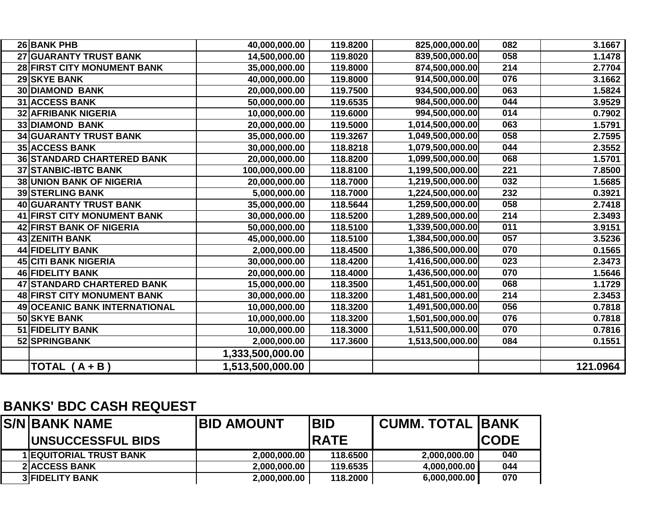| 26 BANK PHB                        | 40,000,000.00    | 119.8200 | 825,000,000.00   | 082 | 3.1667   |
|------------------------------------|------------------|----------|------------------|-----|----------|
| 27 GUARANTY TRUST BANK             | 14,500,000.00    | 119.8020 | 839,500,000.00   | 058 | 1.1478   |
| 28 FIRST CITY MONUMENT BANK        | 35,000,000.00    | 119.8000 | 874,500,000.00   | 214 | 2.7704   |
| 29 SKYE BANK                       | 40,000,000.00    | 119.8000 | 914,500,000.00   | 076 | 3.1662   |
| <b>30 DIAMOND BANK</b>             | 20,000,000.00    | 119.7500 | 934,500,000.00   | 063 | 1.5824   |
| <b>31 ACCESS BANK</b>              | 50,000,000.00    | 119.6535 | 984,500,000.00   | 044 | 3.9529   |
| <b>32 AFRIBANK NIGERIA</b>         | 10,000,000.00    | 119.6000 | 994,500,000.00   | 014 | 0.7902   |
| 33 DIAMOND BANK                    | 20,000,000.00    | 119.5000 | 1,014,500,000.00 | 063 | 1.5791   |
| <b>34 GUARANTY TRUST BANK</b>      | 35,000,000.00    | 119.3267 | 1,049,500,000.00 | 058 | 2.7595   |
| <b>35 ACCESS BANK</b>              | 30,000,000.00    | 118.8218 | 1,079,500,000.00 | 044 | 2.3552   |
| <b>36 STANDARD CHARTERED BANK</b>  | 20,000,000.00    | 118.8200 | 1,099,500,000.00 | 068 | 1.5701   |
| 37 STANBIC-IBTC BANK               | 100,000,000.00   | 118.8100 | 1,199,500,000.00 | 221 | 7.8500   |
| <b>38 UNION BANK OF NIGERIA</b>    | 20,000,000.00    | 118.7000 | 1,219,500,000.00 | 032 | 1.5685   |
| <b>39 STERLING BANK</b>            | 5,000,000.00     | 118.7000 | 1,224,500,000.00 | 232 | 0.3921   |
| 40 GUARANTY TRUST BANK             | 35,000,000.00    | 118.5644 | 1,259,500,000.00 | 058 | 2.7418   |
| 41 FIRST CITY MONUMENT BANK        | 30,000,000.00    | 118.5200 | 1,289,500,000.00 | 214 | 2.3493   |
| 42 FIRST BANK OF NIGERIA           | 50,000,000.00    | 118.5100 | 1,339,500,000.00 | 011 | 3.9151   |
| <b>43 ZENITH BANK</b>              | 45,000,000.00    | 118.5100 | 1,384,500,000.00 | 057 | 3.5236   |
| <b>44 FIDELITY BANK</b>            | 2,000,000.00     | 118.4500 | 1,386,500,000.00 | 070 | 0.1565   |
| <b>45 CITI BANK NIGERIA</b>        | 30,000,000.00    | 118.4200 | 1,416,500,000.00 | 023 | 2.3473   |
| 46 FIDELITY BANK                   | 20,000,000.00    | 118.4000 | 1,436,500,000.00 | 070 | 1.5646   |
| 47 STANDARD CHARTERED BANK         | 15,000,000.00    | 118.3500 | 1,451,500,000.00 | 068 | 1.1729   |
| <b>48 FIRST CITY MONUMENT BANK</b> | 30,000,000.00    | 118.3200 | 1,481,500,000.00 | 214 | 2.3453   |
| 49 OCEANIC BANK INTERNATIONAL      | 10,000,000.00    | 118.3200 | 1,491,500,000.00 | 056 | 0.7818   |
| 50 SKYE BANK                       | 10,000,000.00    | 118.3200 | 1,501,500,000.00 | 076 | 0.7818   |
| 51 FIDELITY BANK                   | 10,000,000.00    | 118.3000 | 1,511,500,000.00 | 070 | 0.7816   |
| 52 SPRINGBANK                      | 2,000,000.00     | 117.3600 | 1,513,500,000.00 | 084 | 0.1551   |
|                                    | 1,333,500,000.00 |          |                  |     |          |
| TOTAL $(A + B)$                    | 1,513,500,000.00 |          |                  |     | 121.0964 |

## **BANKS' BDC CASH REQUEST**

| <b>S/N BANK NAME</b>           | <b>IBID AMOUNT</b> | <b>BID</b>   | <b>CUMM. TOTAL IBANK</b> |              |
|--------------------------------|--------------------|--------------|--------------------------|--------------|
| <b>IUNSUCCESSFUL BIDS</b>      |                    | <b>IRATE</b> |                          | <b>ICODE</b> |
| <b>1 EQUITORIAL TRUST BANK</b> | 2,000,000.00       | 118.6500     | 2,000,000.00             | 040          |
| <b>2IACCESS BANK</b>           | 2,000,000.00       | 119.6535     | 4,000,000.00             | 044          |
| <b>3 FIDELITY BANK</b>         | 2,000,000.00       | 118.2000     | 6,000,000.00             | 070          |